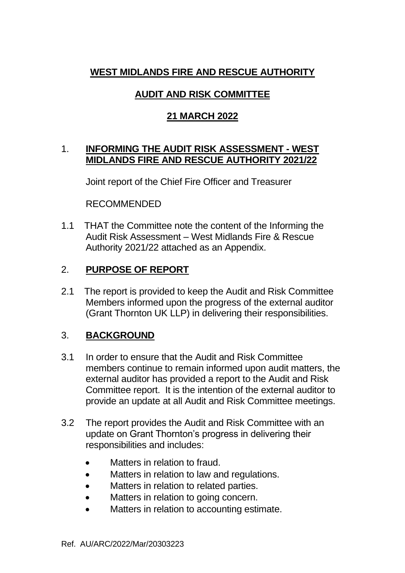## **WEST MIDLANDS FIRE AND RESCUE AUTHORITY**

# **AUDIT AND RISK COMMITTEE**

## **21 MARCH 2022**

### 1. **INFORMING THE AUDIT RISK ASSESSMENT - WEST MIDLANDS FIRE AND RESCUE AUTHORITY 2021/22**

Joint report of the Chief Fire Officer and Treasurer

RECOMMENDED

1.1 THAT the Committee note the content of the Informing the Audit Risk Assessment – West Midlands Fire & Rescue Authority 2021/22 attached as an Appendix.

# 2. **PURPOSE OF REPORT**

2.1 The report is provided to keep the Audit and Risk Committee Members informed upon the progress of the external auditor (Grant Thornton UK LLP) in delivering their responsibilities.

# 3. **BACKGROUND**

- 3.1 In order to ensure that the Audit and Risk Committee members continue to remain informed upon audit matters, the external auditor has provided a report to the Audit and Risk Committee report. It is the intention of the external auditor to provide an update at all Audit and Risk Committee meetings.
- 3.2 The report provides the Audit and Risk Committee with an update on Grant Thornton's progress in delivering their responsibilities and includes:
	- Matters in relation to fraud.
	- Matters in relation to law and regulations.
	- Matters in relation to related parties.
	- Matters in relation to going concern.
	- Matters in relation to accounting estimate.